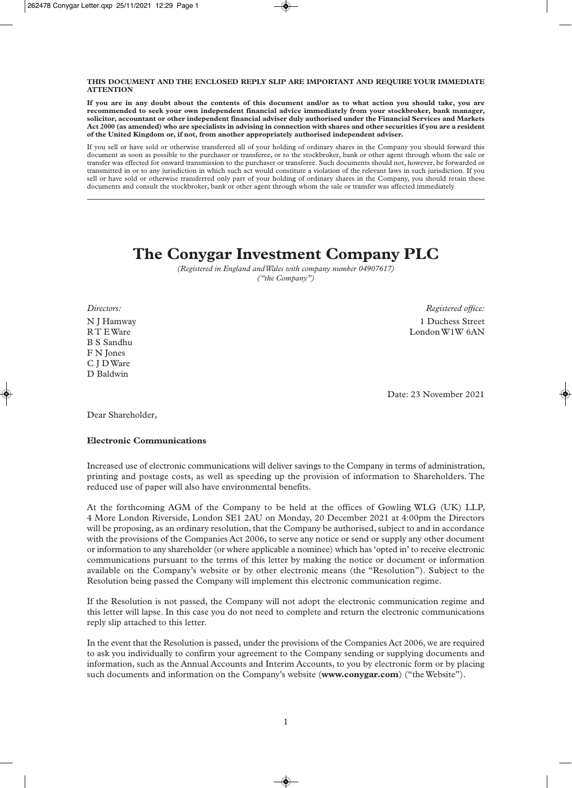#### **THIS DOCUMENT AND THE ENCLOSED REPLY SLIP ARE IMPORTANT AND REQUIRE YOUR IMMEDIATE ATTENTION**

**If you are in any doubt about the contents of this document and/or as to what action you should take, you are recommended to seek your own independent financial advice immediately from your stockbroker, bank manager, solicitor, accountant or other independent financial adviser duly authorised under the Financial Services and Markets Act 2000 (as amended) who are specialists in advising in connection with shares and other securities if you are a resident of the United Kingdom or, if not, from another appropriately authorised independent adviser.**

If you sell or have sold or otherwise transferred all of your holding of ordinary shares in the Company you should forward this document as soon as possible to the purchaser or transferee, or to the stockbroker, bank or other agent through whom the sale or transfer was effected for onward transmission to the purchaser or transferee. Such documents should not, however, be forwarded or transmitted in or to any jurisdiction in which such act would constitute a violation of the relevant laws in such jurisdiction. If you sell or have sold or otherwise transferred only part of your holding of ordinary shares in the Company, you should retain these documents and consult the stockbroker, bank or other agent through whom the sale or transfer was affected immediately.

# **The Conygar Investment Company PLC**

*(Registered in England and Wales with company number 04907617) ("the Company")*

B S Sandhu F N Jones C J D Ware D Baldwin

*Directors: Registered office:* N J Hamway 1 Duchess Street R T E Ware London W1W 6AN

Date: 23 November 2021

Dear Shareholder,

### **Electronic Communications**

Increased use of electronic communications will deliver savings to the Company in terms of administration, printing and postage costs, as well as speeding up the provision of information to Shareholders. The reduced use of paper will also have environmental benefits.

At the forthcoming AGM of the Company to be held at the offices of Gowling WLG (UK) LLP, 4 More London Riverside, London SE1 2AU on Monday, 20 December 2021 at 4:00pm the Directors will be proposing, as an ordinary resolution, that the Company be authorised, subject to and in accordance with the provisions of the Companies Act 2006, to serve any notice or send or supply any other document or information to any shareholder (or where applicable a nominee) which has 'opted in' to receive electronic communications pursuant to the terms of this letter by making the notice or document or information available on the Company's website or by other electronic means (the "Resolution"). Subject to the Resolution being passed the Company will implement this electronic communication regime.

If the Resolution is not passed, the Company will not adopt the electronic communication regime and this letter will lapse. In this case you do not need to complete and return the electronic communications reply slip attached to this letter.

In the event that the Resolution is passed, under the provisions of the Companies Act 2006, we are required to ask you individually to confirm your agreement to the Company sending or supplying documents and information, such as the Annual Accounts and Interim Accounts, to you by electronic form or by placing such documents and information on the Company's website (**www.conygar.com**) ("the Website").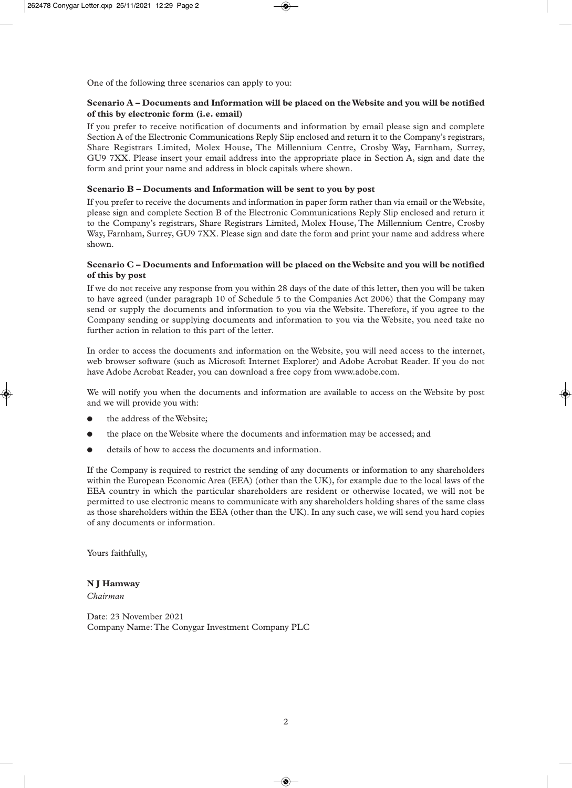One of the following three scenarios can apply to you:

#### **Scenario A – Documents and Information will be placed on the Website and you will be notified of this by electronic form (i.e. email)**

If you prefer to receive notification of documents and information by email please sign and complete Section A of the Electronic Communications Reply Slip enclosed and return it to the Company's registrars, Share Registrars Limited, Molex House, The Millennium Centre, Crosby Way, Farnham, Surrey, GU9 7XX. Please insert your email address into the appropriate place in Section A, sign and date the form and print your name and address in block capitals where shown.

#### **Scenario B – Documents and Information will be sent to you by post**

If you prefer to receive the documents and information in paper form rather than via email or the Website, please sign and complete Section B of the Electronic Communications Reply Slip enclosed and return it to the Company's registrars, Share Registrars Limited, Molex House, The Millennium Centre, Crosby Way, Farnham, Surrey, GU9 7XX. Please sign and date the form and print your name and address where shown.

#### **Scenario C – Documents and Information will be placed on the Website and you will be notified of this by post**

If we do not receive any response from you within 28 days of the date of this letter, then you will be taken to have agreed (under paragraph 10 of Schedule 5 to the Companies Act 2006) that the Company may send or supply the documents and information to you via the Website. Therefore, if you agree to the Company sending or supplying documents and information to you via the Website, you need take no further action in relation to this part of the letter.

In order to access the documents and information on the Website, you will need access to the internet, web browser software (such as Microsoft Internet Explorer) and Adobe Acrobat Reader. If you do not have Adobe Acrobat Reader, you can download a free copy from www.adobe.com.

We will notify you when the documents and information are available to access on the Website by post and we will provide you with:

- the address of the Website;
- the place on the Website where the documents and information may be accessed; and
- details of how to access the documents and information.

If the Company is required to restrict the sending of any documents or information to any shareholders within the European Economic Area (EEA) (other than the UK), for example due to the local laws of the EEA country in which the particular shareholders are resident or otherwise located, we will not be permitted to use electronic means to communicate with any shareholders holding shares of the same class as those shareholders within the EEA (other than the UK). In any such case, we will send you hard copies of any documents or information.

Yours faithfully,

### **N J Hamway**

*Chairman*

Date: 23 November 2021 Company Name: The Conygar Investment Company PLC